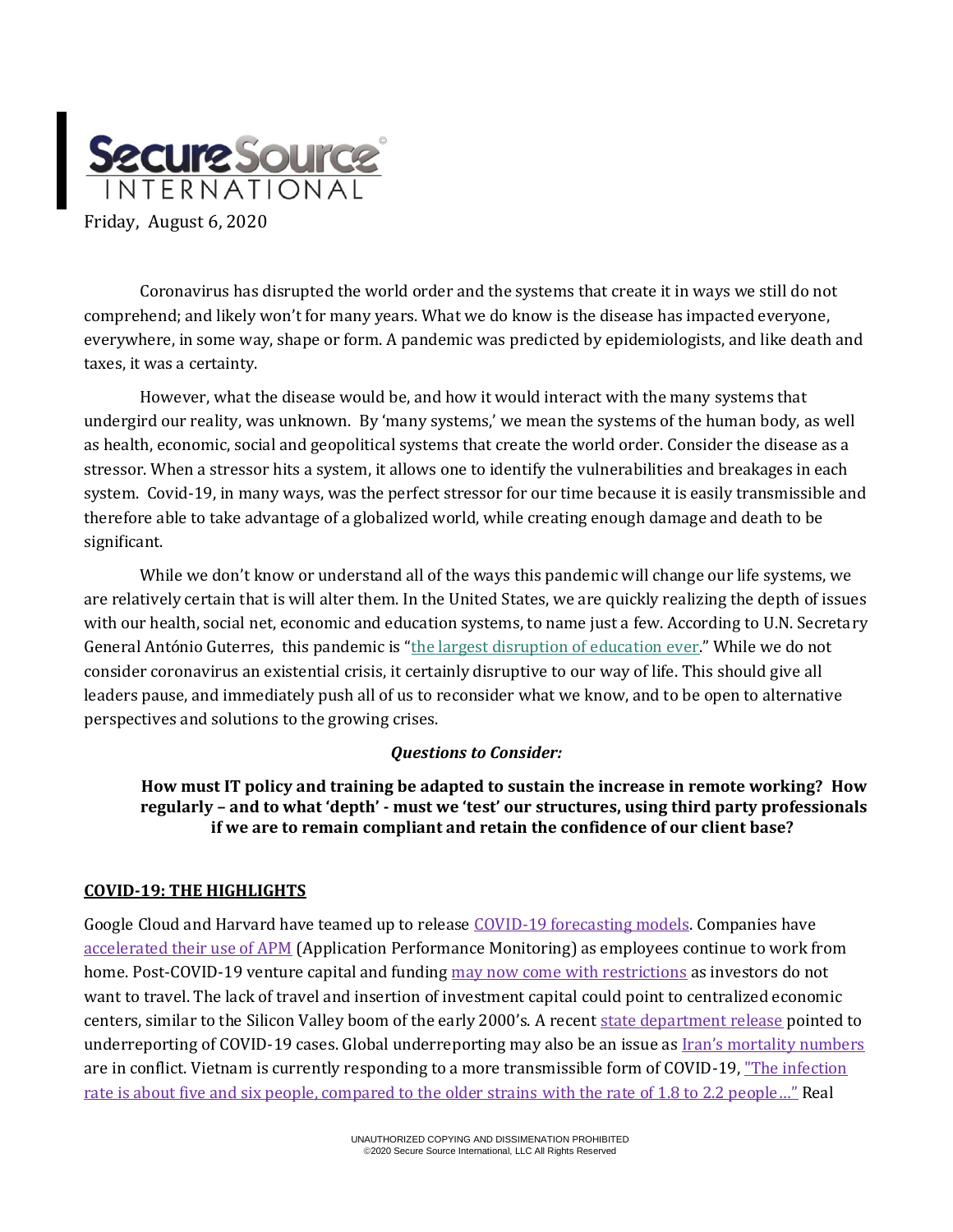

Coronavirus has disrupted the world order and the systems that create it in ways we still do not comprehend; and likely won't for many years. What we do know is the disease has impacted everyone, everywhere, in some way, shape or form. A pandemic was predicted by epidemiologists, and like death and taxes, it was a certainty.

However, what the disease would be, and how it would interact with the many systems that undergird our reality, was unknown. By 'many systems,' we mean the systems of the human body, as well as health, economic, social and geopolitical systems that create the world order. Consider the disease as a stressor. When a stressor hits a system, it allows one to identify the vulnerabilities and breakages in each system. Covid-19, in many ways, was the perfect stressor for our time because it is easily transmissible and therefore able to take advantage of a globalized world, while creating enough damage and death to be significant.

While we don't know or understand all of the ways this pandemic will change our life systems, we are relatively certain that is will alter them. In the United States, we are quickly realizing the depth of issues with our health, social net, economic and education systems, to name just a few. According to U.N. Secretary General António Guterres, this pandemic is "[the largest disruption of education ever](https://www.msn.com/en-us/news/world/closing-schools-around-the-world-could-cause-a-generational-catastrophe-u-n-secretary-general-warns/ar-BB17ySQp?ocid=hponeservicefeed)." While we do not consider coronavirus an existential crisis, it certainly disruptive to our way of life. This should give all leaders pause, and immediately push all of us to reconsider what we know, and to be open to alternative perspectives and solutions to the growing crises.

## *Questions to Consider:*

**How must IT policy and training be adapted to sustain the increase in remote working? How regularly – and to what 'depth' - must we 'test' our structures, using third party professionals if we are to remain compliant and retain the confidence of our client base?**

## **COVID-19: THE HIGHLIGHTS**

Google Cloud and Harvard have teamed up to releas[e COVID-19 forecasting models.](https://cloud.google.com/blog/products/ai-machine-learning/google-cloud-is-releasing-the-covid-19-public-forecasts) Companies have [accelerated their use of APM](file:///C:/Users/theNa/AppData/Local/Microsoft/Windows/INetCache/Content.Outlook/5VFWQ1XZ/.%20%20https:/haydenjames.io/20-leading-companies-share-how-covid-19-is-accelerating-the-future-of-apm) (Application Performance Monitoring) as employees continue to work from home. Post-COVID-19 venture capital and funding [may now come with restrictions](https://rapidly.co/blog/founders-journey-fundraising-venture-capital-during-covid-19/) as investors do not want to travel. The lack of travel and insertion of investment capital could point to centralized economic centers, similar to the Silicon Valley boom of the early 2000's. A recent [state department release](https://www.sccgov.org/sites/covid19/Pages/dashboard.aspx) pointed to underreporting of COVID-19 cases. Global underreporting may also be an issue as [Iran's mortality numbers](https://www.bbc.com/news/world-middle-east-53598965) are in conflict. Vietnam is currently responding to a more transmissible form of COVID-19, "The infection [rate is about five and six people, compared to the older strains](https://asia.nikkei.com/Spotlight/Coronavirus/Vietnam-fights-new-COVID-19-strain-with-higher-infection-rate) with the rate of 1.8 to 2.2 people…" Real